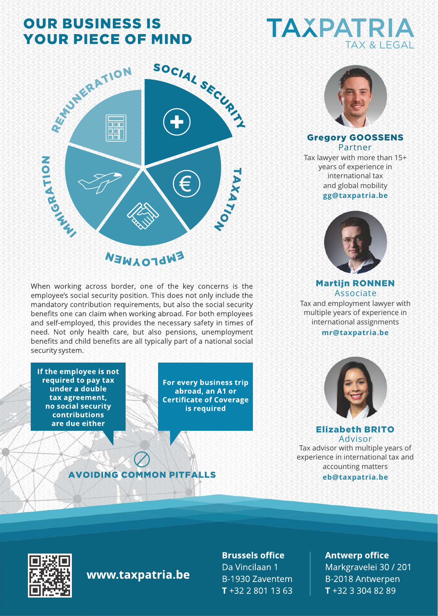# **OUR BUSINESS IS YOUR PIECE OF MIND**



When working across border, one of the key concerns is the employee's social security position. This does not only include the mandatory contribution requirements, but also the social security benefits one can claim when working abroad. For both employees and self-employed, this provides the necessary safety in times of need. Not only health care, but also pensions, unemployment benefits and child benefits are all typically part of a national social security system.

If the employee is not required to pay tax under a double tax agreement, no social security **contributions** are due either

For every business trip abroad, an A1 or **Certificate of Coverage** is required





#### Gregory GOOSSENS Partner

**gg@taxpatria.be**  Tax lawyer with more than 15+ years of experience in international tax and global mobility



Martijn RONNEN Associate Tax and employment lawyer with multiple years of experience in international assignments

#### **mr@taxpatria.be**



Elizabeth BRITO Advisor

**eb@taxpatria.be** Tax advisor with multiple years of experience in international tax and accounting matters

www.taxpatria.be

**AVOIDING COMMON PITFALLS** 

**Brussels office** 

Da Vincilaan 1 B-1930 Zaventem T +32 2 801 13 63 **Antwerp office** 

Markgravelei 30 / 201 B-2018 Antwerpen T +32 3 304 82 89